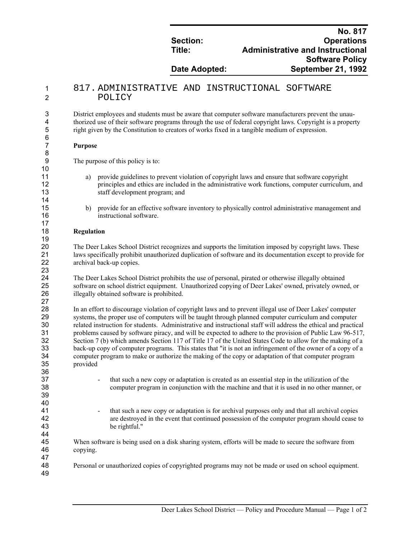|               | <b>No. 817</b>                          |
|---------------|-----------------------------------------|
| Section:      | <b>Operations</b>                       |
| Title:        | <b>Administrative and Instructional</b> |
|               | <b>Software Policy</b>                  |
| Date Adopted: | <b>September 21, 1992</b>               |

## 1 817. ADMINISTRATIVE AND INSTRUCTIONAL SOFTWARE 2 POLICY

3 District employees and students must be aware that computer software manufacturers prevent the unau-4 thorized use of their software programs through the use of federal copyright laws. Copyright is a property 5 right given by the Constitution to creators of works fixed in a tangible medium of expression.

## 7 **Purpose**

6<br>7

8

10

14

17

19

23

27

36

39 40

9 The purpose of this policy is to:

- 11 a) provide guidelines to prevent violation of copyright laws and ensure that software copyright 12 principles and ethics are included in the administrative work functions, computer curriculum, and 13 staff development program; and
- 15 b) provide for an effective software inventory to physically control administrative management and 16 instructional software.

## 18 **Regulation**

20 The Deer Lakes School District recognizes and supports the limitation imposed by copyright laws. These laws specifically prohibit unauthorized duplication of software and its documentation except to provide fo 21 laws specifically prohibit unauthorized duplication of software and its documentation except to provide for archival back-un copies archival back-up copies.

24 The Deer Lakes School District prohibits the use of personal, pirated or otherwise illegally obtained 25 software on school district equipment. Unauthorized copying of Deer Lakes' owned, privately owned, or<br>26 illegally obtained software is prohibited. illegally obtained software is prohibited.

28 In an effort to discourage violation of copyright laws and to prevent illegal use of Deer Lakes' computer 29 systems, the proper use of computers will be taught through planned computer curriculum and computer related instruction for students. Administrative and instructional staff will address the ethical and practic 30 related instruction for students. Administrative and instructional staff will address the ethical and practical 31 roblems caused by software piracy, and will be expected to adhere to the provision of Public Law 96-517. 31 problems caused by software piracy, and will be expected to adhere to the provision of Public Law 96-517,<br>32 Section 7 (b) which amends Section 117 of Title 17 of the United States Code to allow for the making of a 32 Section 7 (b) which amends Section 117 of Title 17 of the United States Code to allow for the making of a back-up copy of computer programs. This states that "it is not an infringement of the owner of a copy of a 33 back-up copy of computer programs. This states that "it is not an infringement of the owner of a copy of a<br>34 computer program to make or authorize the making of the copy or adaptation of that computer program 34 computer program to make or authorize the making of the copy or adaptation of that computer program provided

- 37 that such a new copy or adaptation is created as an essential step in the utilization of the 38 computer program in conjunction with the machine and that it is used in no other manner, or
- 41 that such a new copy or adaptation is for archival purposes only and that all archival copies<br>42 exercise are destroved in the event that continued possession of the computer program should cease t are destroyed in the event that continued possession of the computer program should cease to 43 be rightful."

44<br>45 When software is being used on a disk sharing system, efforts will be made to secure the software from 46 copying.

48 Personal or unauthorized copies of copyrighted programs may not be made or used on school equipment.

49

47